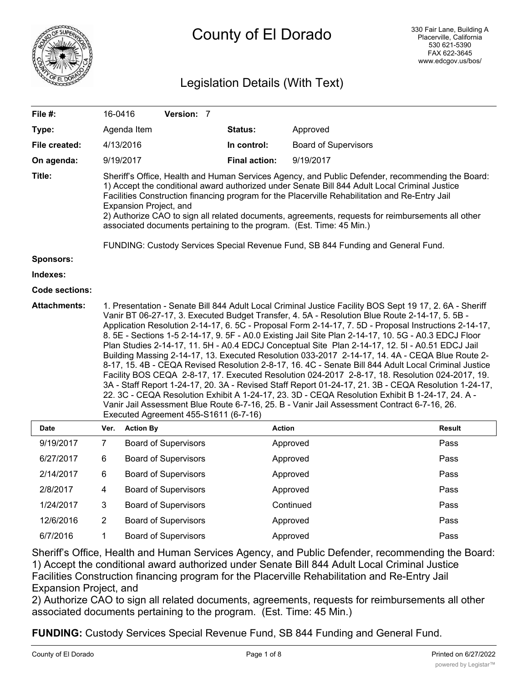

# Legislation Details (With Text)

| File #:               |                                                                                                                                                                                                                                                                                                                                                                                                                                                                                                            | 16-0416                               | Version: 7                  |  |                      |                             |                                                                                                                                                                                                                                                                                                                                                                                                                                                                                                                                                                                                                                                                                                                                                                                                                                                                                                                                                                                                                                            |               |
|-----------------------|------------------------------------------------------------------------------------------------------------------------------------------------------------------------------------------------------------------------------------------------------------------------------------------------------------------------------------------------------------------------------------------------------------------------------------------------------------------------------------------------------------|---------------------------------------|-----------------------------|--|----------------------|-----------------------------|--------------------------------------------------------------------------------------------------------------------------------------------------------------------------------------------------------------------------------------------------------------------------------------------------------------------------------------------------------------------------------------------------------------------------------------------------------------------------------------------------------------------------------------------------------------------------------------------------------------------------------------------------------------------------------------------------------------------------------------------------------------------------------------------------------------------------------------------------------------------------------------------------------------------------------------------------------------------------------------------------------------------------------------------|---------------|
| Type:                 |                                                                                                                                                                                                                                                                                                                                                                                                                                                                                                            | Agenda Item                           |                             |  | <b>Status:</b>       | Approved                    |                                                                                                                                                                                                                                                                                                                                                                                                                                                                                                                                                                                                                                                                                                                                                                                                                                                                                                                                                                                                                                            |               |
| File created:         |                                                                                                                                                                                                                                                                                                                                                                                                                                                                                                            | 4/13/2016                             |                             |  | In control:          | <b>Board of Supervisors</b> |                                                                                                                                                                                                                                                                                                                                                                                                                                                                                                                                                                                                                                                                                                                                                                                                                                                                                                                                                                                                                                            |               |
| On agenda:            |                                                                                                                                                                                                                                                                                                                                                                                                                                                                                                            | 9/19/2017                             |                             |  | <b>Final action:</b> | 9/19/2017                   |                                                                                                                                                                                                                                                                                                                                                                                                                                                                                                                                                                                                                                                                                                                                                                                                                                                                                                                                                                                                                                            |               |
| Title:                | Sheriff's Office, Health and Human Services Agency, and Public Defender, recommending the Board:<br>1) Accept the conditional award authorized under Senate Bill 844 Adult Local Criminal Justice<br>Facilities Construction financing program for the Placerville Rehabilitation and Re-Entry Jail<br>Expansion Project, and<br>2) Authorize CAO to sign all related documents, agreements, requests for reimbursements all other<br>associated documents pertaining to the program. (Est. Time: 45 Min.) |                                       |                             |  |                      |                             |                                                                                                                                                                                                                                                                                                                                                                                                                                                                                                                                                                                                                                                                                                                                                                                                                                                                                                                                                                                                                                            |               |
|                       | FUNDING: Custody Services Special Revenue Fund, SB 844 Funding and General Fund.                                                                                                                                                                                                                                                                                                                                                                                                                           |                                       |                             |  |                      |                             |                                                                                                                                                                                                                                                                                                                                                                                                                                                                                                                                                                                                                                                                                                                                                                                                                                                                                                                                                                                                                                            |               |
| Sponsors:<br>Indexes: |                                                                                                                                                                                                                                                                                                                                                                                                                                                                                                            |                                       |                             |  |                      |                             |                                                                                                                                                                                                                                                                                                                                                                                                                                                                                                                                                                                                                                                                                                                                                                                                                                                                                                                                                                                                                                            |               |
| Code sections:        |                                                                                                                                                                                                                                                                                                                                                                                                                                                                                                            |                                       |                             |  |                      |                             |                                                                                                                                                                                                                                                                                                                                                                                                                                                                                                                                                                                                                                                                                                                                                                                                                                                                                                                                                                                                                                            |               |
| <b>Attachments:</b>   |                                                                                                                                                                                                                                                                                                                                                                                                                                                                                                            |                                       |                             |  |                      |                             | 1. Presentation - Senate Bill 844 Adult Local Criminal Justice Facility BOS Sept 19 17, 2. 6A - Sheriff                                                                                                                                                                                                                                                                                                                                                                                                                                                                                                                                                                                                                                                                                                                                                                                                                                                                                                                                    |               |
|                       |                                                                                                                                                                                                                                                                                                                                                                                                                                                                                                            | Executed Agreement 455-S1611 (6-7-16) |                             |  |                      |                             | Vanir BT 06-27-17, 3. Executed Budget Transfer, 4. 5A - Resolution Blue Route 2-14-17, 5. 5B -<br>Application Resolution 2-14-17, 6. 5C - Proposal Form 2-14-17, 7. 5D - Proposal Instructions 2-14-17,<br>8. 5E - Sections 1-5 2-14-17, 9. 5F - A0.0 Existing Jail Site Plan 2-14-17, 10. 5G - A0.3 EDCJ Floor<br>Plan Studies 2-14-17, 11. 5H - A0.4 EDCJ Conceptual Site Plan 2-14-17, 12. 5I - A0.51 EDCJ Jail<br>Building Massing 2-14-17, 13. Executed Resolution 033-2017 2-14-17, 14. 4A - CEQA Blue Route 2-<br>8-17, 15. 4B - CEQA Revised Resolution 2-8-17, 16. 4C - Senate Bill 844 Adult Local Criminal Justice<br>Facility BOS CEQA 2-8-17, 17. Executed Resolution 024-2017 2-8-17, 18. Resolution 024-2017, 19.<br>3A - Staff Report 1-24-17, 20. 3A - Revised Staff Report 01-24-17, 21. 3B - CEQA Resolution 1-24-17,<br>22. 3C - CEQA Resolution Exhibit A 1-24-17, 23. 3D - CEQA Resolution Exhibit B 1-24-17, 24. A -<br>Vanir Jail Assessment Blue Route 6-7-16, 25. B - Vanir Jail Assessment Contract 6-7-16, 26. |               |
| Date                  | Ver.                                                                                                                                                                                                                                                                                                                                                                                                                                                                                                       | <b>Action By</b>                      |                             |  |                      | <b>Action</b>               |                                                                                                                                                                                                                                                                                                                                                                                                                                                                                                                                                                                                                                                                                                                                                                                                                                                                                                                                                                                                                                            | <b>Result</b> |
| 9/19/2017             | $\overline{7}$                                                                                                                                                                                                                                                                                                                                                                                                                                                                                             |                                       | <b>Board of Supervisors</b> |  |                      | Approved                    | Pass                                                                                                                                                                                                                                                                                                                                                                                                                                                                                                                                                                                                                                                                                                                                                                                                                                                                                                                                                                                                                                       |               |
| 6/27/2017             | 6                                                                                                                                                                                                                                                                                                                                                                                                                                                                                                          |                                       | <b>Board of Supervisors</b> |  |                      | Approved                    | Pass                                                                                                                                                                                                                                                                                                                                                                                                                                                                                                                                                                                                                                                                                                                                                                                                                                                                                                                                                                                                                                       |               |
| 2/14/2017             | 6                                                                                                                                                                                                                                                                                                                                                                                                                                                                                                          |                                       | <b>Board of Supervisors</b> |  |                      | Approved                    | Pass                                                                                                                                                                                                                                                                                                                                                                                                                                                                                                                                                                                                                                                                                                                                                                                                                                                                                                                                                                                                                                       |               |
| 2/8/2017              | 4                                                                                                                                                                                                                                                                                                                                                                                                                                                                                                          |                                       | <b>Board of Supervisors</b> |  |                      | Approved                    | Pass                                                                                                                                                                                                                                                                                                                                                                                                                                                                                                                                                                                                                                                                                                                                                                                                                                                                                                                                                                                                                                       |               |
| 1/24/2017             | 3                                                                                                                                                                                                                                                                                                                                                                                                                                                                                                          |                                       | <b>Board of Supervisors</b> |  |                      | Continued                   | Pass                                                                                                                                                                                                                                                                                                                                                                                                                                                                                                                                                                                                                                                                                                                                                                                                                                                                                                                                                                                                                                       |               |
| 12/6/2016             | $\overline{2}$                                                                                                                                                                                                                                                                                                                                                                                                                                                                                             |                                       | <b>Board of Supervisors</b> |  |                      | Approved                    | Pass                                                                                                                                                                                                                                                                                                                                                                                                                                                                                                                                                                                                                                                                                                                                                                                                                                                                                                                                                                                                                                       |               |
| 6/7/2016              | 1                                                                                                                                                                                                                                                                                                                                                                                                                                                                                                          |                                       | <b>Board of Supervisors</b> |  |                      | Approved                    | Pass                                                                                                                                                                                                                                                                                                                                                                                                                                                                                                                                                                                                                                                                                                                                                                                                                                                                                                                                                                                                                                       |               |

Sheriff's Office, Health and Human Services Agency, and Public Defender, recommending the Board: 1) Accept the conditional award authorized under Senate Bill 844 Adult Local Criminal Justice Facilities Construction financing program for the Placerville Rehabilitation and Re-Entry Jail Expansion Project, and

2) Authorize CAO to sign all related documents, agreements, requests for reimbursements all other associated documents pertaining to the program. (Est. Time: 45 Min.)

**FUNDING:** Custody Services Special Revenue Fund, SB 844 Funding and General Fund.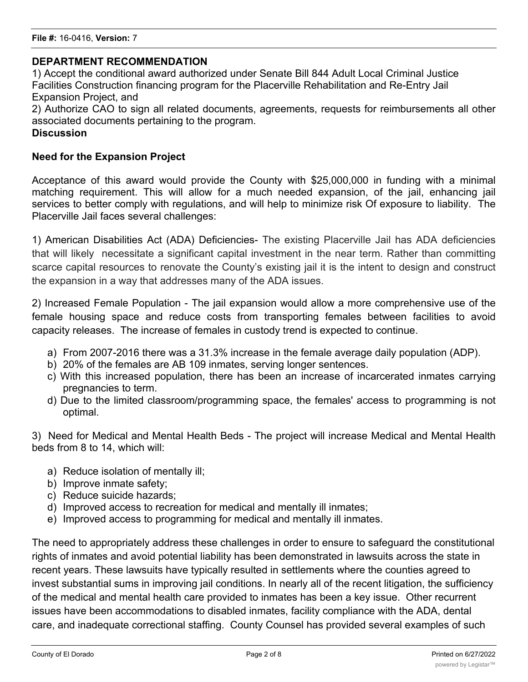# **DEPARTMENT RECOMMENDATION**

1) Accept the conditional award authorized under Senate Bill 844 Adult Local Criminal Justice Facilities Construction financing program for the Placerville Rehabilitation and Re-Entry Jail Expansion Project, and 2) Authorize CAO to sign all related documents, agreements, requests for reimbursements all other associated documents pertaining to the program.

## **Discussion**

# **Need for the Expansion Project**

Acceptance of this award would provide the County with \$25,000,000 in funding with a minimal matching requirement. This will allow for a much needed expansion, of the jail, enhancing jail services to better comply with regulations, and will help to minimize risk Of exposure to liability. The Placerville Jail faces several challenges:

1) American Disabilities Act (ADA) Deficiencies- The existing Placerville Jail has ADA deficiencies that will likely necessitate a significant capital investment in the near term. Rather than committing scarce capital resources to renovate the County's existing jail it is the intent to design and construct the expansion in a way that addresses many of the ADA issues.

2) Increased Female Population - The jail expansion would allow a more comprehensive use of the female housing space and reduce costs from transporting females between facilities to avoid capacity releases. The increase of females in custody trend is expected to continue.

- a) From 2007-2016 there was a 31.3% increase in the female average daily population (ADP).
- b) 20% of the females are AB 109 inmates, serving longer sentences.
- c) With this increased population, there has been an increase of incarcerated inmates carrying pregnancies to term.
- d) Due to the limited classroom/programming space, the females' access to programming is not optimal.

3) Need for Medical and Mental Health Beds - The project will increase Medical and Mental Health beds from 8 to 14, which will:

- a) Reduce isolation of mentally ill;
- b) Improve inmate safety;
- c) Reduce suicide hazards;
- d) Improved access to recreation for medical and mentally ill inmates;
- e) Improved access to programming for medical and mentally ill inmates.

The need to appropriately address these challenges in order to ensure to safeguard the constitutional rights of inmates and avoid potential liability has been demonstrated in lawsuits across the state in recent years. These lawsuits have typically resulted in settlements where the counties agreed to invest substantial sums in improving jail conditions. In nearly all of the recent litigation, the sufficiency of the medical and mental health care provided to inmates has been a key issue. Other recurrent issues have been accommodations to disabled inmates, facility compliance with the ADA, dental care, and inadequate correctional staffing. County Counsel has provided several examples of such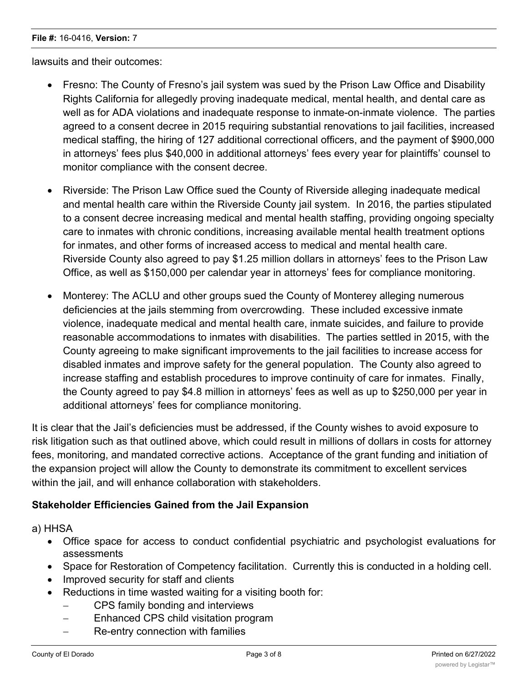#### **File #:** 16-0416, **Version:** 7

lawsuits and their outcomes:

- · Fresno: The County of Fresno's jail system was sued by the Prison Law Office and Disability Rights California for allegedly proving inadequate medical, mental health, and dental care as well as for ADA violations and inadequate response to inmate-on-inmate violence. The parties agreed to a consent decree in 2015 requiring substantial renovations to jail facilities, increased medical staffing, the hiring of 127 additional correctional officers, and the payment of \$900,000 in attorneys' fees plus \$40,000 in additional attorneys' fees every year for plaintiffs' counsel to monitor compliance with the consent decree.
- · Riverside: The Prison Law Office sued the County of Riverside alleging inadequate medical and mental health care within the Riverside County jail system. In 2016, the parties stipulated to a consent decree increasing medical and mental health staffing, providing ongoing specialty care to inmates with chronic conditions, increasing available mental health treatment options for inmates, and other forms of increased access to medical and mental health care. Riverside County also agreed to pay \$1.25 million dollars in attorneys' fees to the Prison Law Office, as well as \$150,000 per calendar year in attorneys' fees for compliance monitoring.
- Monterey: The ACLU and other groups sued the County of Monterey alleging numerous deficiencies at the jails stemming from overcrowding. These included excessive inmate violence, inadequate medical and mental health care, inmate suicides, and failure to provide reasonable accommodations to inmates with disabilities. The parties settled in 2015, with the County agreeing to make significant improvements to the jail facilities to increase access for disabled inmates and improve safety for the general population. The County also agreed to increase staffing and establish procedures to improve continuity of care for inmates. Finally, the County agreed to pay \$4.8 million in attorneys' fees as well as up to \$250,000 per year in additional attorneys' fees for compliance monitoring.

It is clear that the Jail's deficiencies must be addressed, if the County wishes to avoid exposure to risk litigation such as that outlined above, which could result in millions of dollars in costs for attorney fees, monitoring, and mandated corrective actions. Acceptance of the grant funding and initiation of the expansion project will allow the County to demonstrate its commitment to excellent services within the jail, and will enhance collaboration with stakeholders.

# **Stakeholder Efficiencies Gained from the Jail Expansion**

a) HHSA

- · Office space for access to conduct confidential psychiatric and psychologist evaluations for assessments
- · Space for Restoration of Competency facilitation. Currently this is conducted in a holding cell.
- · Improved security for staff and clients
- Reductions in time wasted waiting for a visiting booth for:
	- CPS family bonding and interviews
	- Enhanced CPS child visitation program
	- Re-entry connection with families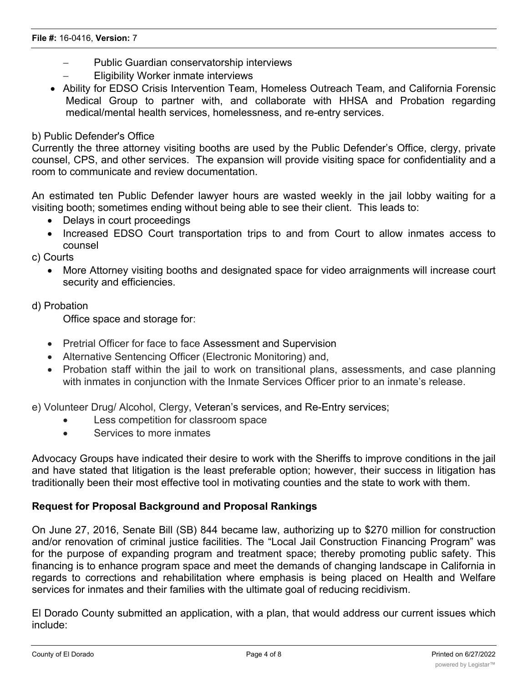- Public Guardian conservatorship interviews
- **Eligibility Worker inmate interviews**
- · Ability for EDSO Crisis Intervention Team, Homeless Outreach Team, and California Forensic Medical Group to partner with, and collaborate with HHSA and Probation regarding medical/mental health services, homelessness, and re-entry services.

#### b) Public Defender's Office

Currently the three attorney visiting booths are used by the Public Defender's Office, clergy, private counsel, CPS, and other services. The expansion will provide visiting space for confidentiality and a room to communicate and review documentation.

An estimated ten Public Defender lawyer hours are wasted weekly in the jail lobby waiting for a visiting booth; sometimes ending without being able to see their client. This leads to:

- Delays in court proceedings
- · Increased EDSO Court transportation trips to and from Court to allow inmates access to counsel

c) Courts

· More Attorney visiting booths and designated space for video arraignments will increase court security and efficiencies.

## d) Probation

Office space and storage for:

- · Pretrial Officer for face to face Assessment and Supervision
- · Alternative Sentencing Officer (Electronic Monitoring) and,
- Probation staff within the jail to work on transitional plans, assessments, and case planning with inmates in conjunction with the Inmate Services Officer prior to an inmate's release.

e) Volunteer Drug/ Alcohol, Clergy, Veteran's services, and Re-Entry services;

- · Less competition for classroom space
- · Services to more inmates

Advocacy Groups have indicated their desire to work with the Sheriffs to improve conditions in the jail and have stated that litigation is the least preferable option; however, their success in litigation has traditionally been their most effective tool in motivating counties and the state to work with them.

# **Request for Proposal Background and Proposal Rankings**

On June 27, 2016, Senate Bill (SB) 844 became law, authorizing up to \$270 million for construction and/or renovation of criminal justice facilities. The "Local Jail Construction Financing Program" was for the purpose of expanding program and treatment space; thereby promoting public safety. This financing is to enhance program space and meet the demands of changing landscape in California in regards to corrections and rehabilitation where emphasis is being placed on Health and Welfare services for inmates and their families with the ultimate goal of reducing recidivism.

El Dorado County submitted an application, with a plan, that would address our current issues which include: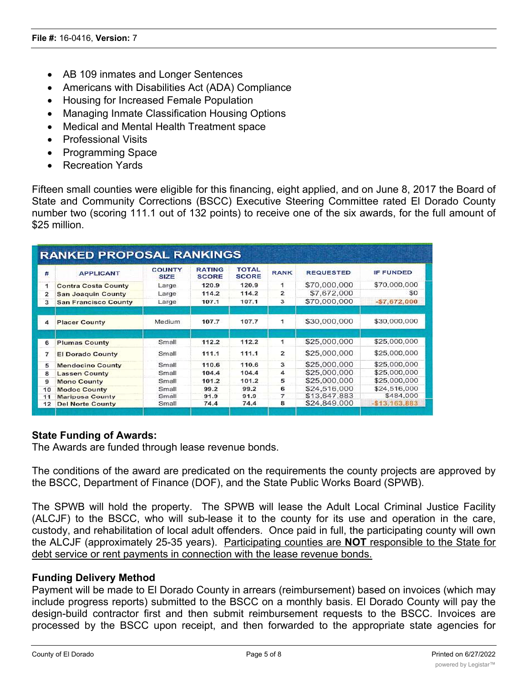- AB 109 inmates and Longer Sentences
- Americans with Disabilities Act (ADA) Compliance
- · Housing for Increased Female Population
- Managing Inmate Classification Housing Options
- · Medical and Mental Health Treatment space
- · Professional Visits
- · Programming Space
- · Recreation Yards

Fifteen small counties were eligible for this financing, eight applied, and on June 8, 2017 the Board of State and Community Corrections (BSCC) Executive Steering Committee rated El Dorado County number two (scoring 111.1 out of 132 points) to receive one of the six awards, for the full amount of \$25 million.

| 莽            | <b>APPLICANT</b>            | <b>COUNTY</b><br><b>SIZE</b> | <b>RATING</b><br><b>SCORE</b> | <b>TOTAL</b><br><b>SCORE</b> | <b>RANK</b>    | <b>REQUESTED</b> | <b>IF FUNDED</b> |
|--------------|-----------------------------|------------------------------|-------------------------------|------------------------------|----------------|------------------|------------------|
| 1            | <b>Contra Costa County</b>  | Large                        | 120.9                         | 120.9                        | 1              | \$70,000,000     | \$70,000,000     |
| $\mathbf{z}$ | <b>San Joaquin County</b>   | Large                        | 114.2                         | 114.2                        | $\mathbf{2}$   | \$7,672,000      | SO.              |
| 3            | <b>San Francisco County</b> | Large                        | 107.1                         | 107.1                        | з              | \$70,000,000     | $-57,672,000$    |
| 4            | <b>Placer County</b>        | Medium                       | 107.7                         | 107.7                        | 1              | \$30,000,000     | \$30,000,000     |
| 6            | <b>Plumas County</b>        | Small                        | 112.2                         | 112.2                        | 1              | \$25,000,000     | \$25,000,000     |
| 7            | <b>El Dorado County</b>     | Small                        | 111.1                         | 111.1                        | $\mathbf{z}$   | \$25,000,000     | \$25,000,000     |
| 5            | <b>Mendocino County</b>     | Small                        | 110.6                         | 110.6                        | 3              | \$25,000,000     | \$25,000,000     |
| 8            | <b>Lassen County</b>        | Small                        | 104.4                         | 104.4                        | 4              | \$25,000,000     | \$25,000,000     |
| 9            | <b>Mono County</b>          | Small                        | 101.2                         | 101.2                        | 5              | \$25,000,000     | \$25,000,000     |
| 10           | <b>Modoc County</b>         | Small                        | 99.2                          | 99.2                         | 6              | \$24,516,000     | \$24,516,000     |
| 11           | <b>Mariposa County</b>      | Small                        | 91.9                          | 91.9                         | $\overline{7}$ | \$13,647,883     | \$484,000        |
| 12           | <b>Del Norte County</b>     | Small                        | 74.4                          | 74.4                         | 8              | \$24,849,000     | $-$13,163,883$   |

# **State Funding of Awards:**

The Awards are funded through lease revenue bonds.

The conditions of the award are predicated on the requirements the county projects are approved by the BSCC, Department of Finance (DOF), and the State Public Works Board (SPWB).

The SPWB will hold the property. The SPWB will lease the Adult Local Criminal Justice Facility (ALCJF) to the BSCC, who will sub-lease it to the county for its use and operation in the care, custody, and rehabilitation of local adult offenders. Once paid in full, the participating county will own the ALCJF (approximately 25-35 years). Participating counties are **NOT** responsible to the State for debt service or rent payments in connection with the lease revenue bonds.

# **Funding Delivery Method**

Payment will be made to El Dorado County in arrears (reimbursement) based on invoices (which may include progress reports) submitted to the BSCC on a monthly basis. El Dorado County will pay the design-build contractor first and then submit reimbursement requests to the BSCC. Invoices are processed by the BSCC upon receipt, and then forwarded to the appropriate state agencies for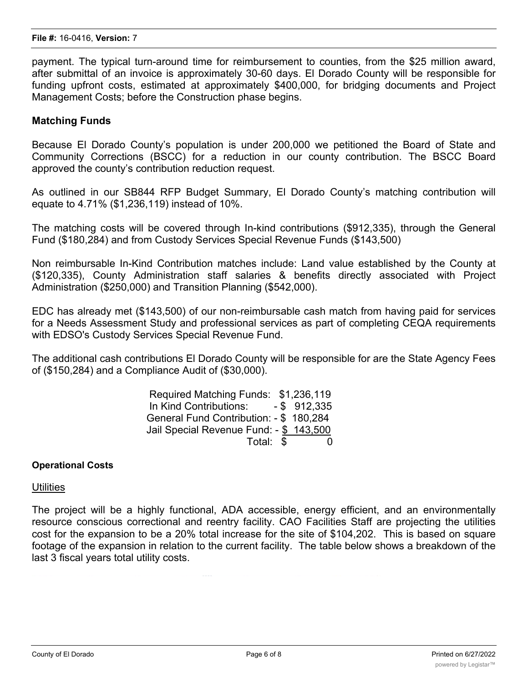payment. The typical turn-around time for reimbursement to counties, from the \$25 million award, after submittal of an invoice is approximately 30-60 days. El Dorado County will be responsible for funding upfront costs, estimated at approximately \$400,000, for bridging documents and Project Management Costs; before the Construction phase begins.

#### **Matching Funds**

Because El Dorado County's population is under 200,000 we petitioned the Board of State and Community Corrections (BSCC) for a reduction in our county contribution. The BSCC Board approved the county's contribution reduction request.

As outlined in our SB844 RFP Budget Summary, El Dorado County's matching contribution will equate to 4.71% (\$1,236,119) instead of 10%.

The matching costs will be covered through In-kind contributions (\$912,335), through the General Fund (\$180,284) and from Custody Services Special Revenue Funds (\$143,500)

Non reimbursable In-Kind Contribution matches include: Land value established by the County at (\$120,335), County Administration staff salaries & benefits directly associated with Project Administration (\$250,000) and Transition Planning (\$542,000).

EDC has already met (\$143,500) of our non-reimbursable cash match from having paid for services for a Needs Assessment Study and professional services as part of completing CEQA requirements with EDSO's Custody Services Special Revenue Fund.

The additional cash contributions El Dorado County will be responsible for are the State Agency Fees of (\$150,284) and a Compliance Audit of (\$30,000).

| Required Matching Funds: \$1,236,119    |  |
|-----------------------------------------|--|
| In Kind Contributions: $-$ \$ 912,335   |  |
| General Fund Contribution: - \$ 180,284 |  |
| Jail Special Revenue Fund: - \$ 143,500 |  |
| Total: \$                               |  |

#### **Operational Costs**

#### **Utilities**

The project will be a highly functional, ADA accessible, energy efficient, and an environmentally resource conscious correctional and reentry facility. CAO Facilities Staff are projecting the utilities cost for the expansion to be a 20% total increase for the site of \$104,202. This is based on square footage of the expansion in relation to the current facility. The table below shows a breakdown of the last 3 fiscal years total utility costs.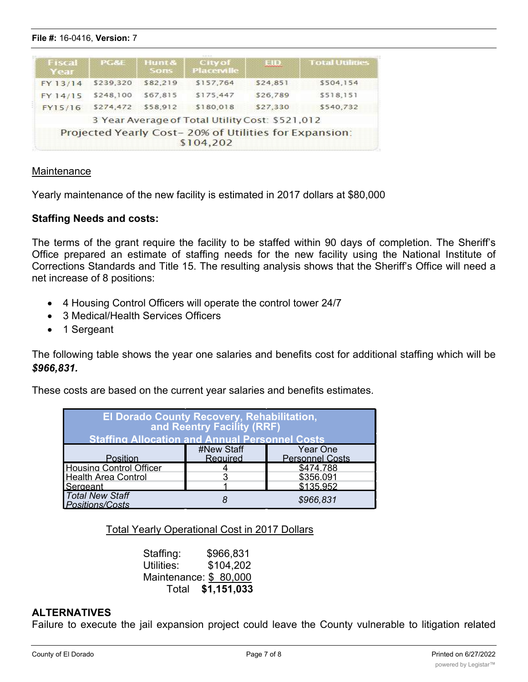**Maintenance** 

Fiscal<br>Year

FY 13/14

FY 14/15

FY15/16

· 4 Housing Control Officers will operate the control tower 24/7

Yearly maintenance of the new facility is estimated in 2017 dollars at \$80,000

City of<br>Placerville

\$157,764

\$175,447

\$180,018

3 Year Average of Total Utility Cost: \$521,012 Projected Yearly Cost-20% of Utilities for Expansion:  $$104,202$ 

Hunt &<br>Sons

\$82,219

\$67,815

\$58,912

- · 3 Medical/Health Services Officers
- · 1 Sergeant

**Staffing Needs and costs:**

net increase of 8 positions:

**File #:** 16-0416, **Version:** 7

PG&E

\$239,320

\$248,100

\$274,472

The following table shows the year one salaries and benefits cost for additional staffing which will be *\$966,831.*

The terms of the grant require the facility to be staffed within 90 days of completion. The Sheriff's Office prepared an estimate of staffing needs for the new facility using the National Institute of

**EID** 

\$24,851

\$26,789

\$27,330

**Total Utilities** 

\$504,154

\$518,151

\$540,732

These costs are based on the current year salaries and benefits estimates.

| El Dorado County Recovery, Rehabilitation,<br>and Reentry Facility (RRF)<br><b>Staffing Allocation and Annual Personnel Costs</b> |                        |                                    |  |  |  |  |
|-----------------------------------------------------------------------------------------------------------------------------------|------------------------|------------------------------------|--|--|--|--|
| Position                                                                                                                          | #New Staff<br>Required | Year One<br><b>Personnel Costs</b> |  |  |  |  |
| <b>Housing Control Officer</b>                                                                                                    |                        | \$474.788                          |  |  |  |  |
| <b>Health Area Control</b>                                                                                                        | 3                      | \$356.091                          |  |  |  |  |
| Sergeant                                                                                                                          |                        | \$135.952                          |  |  |  |  |
| <b>Total New Staff</b><br>Positions/Costs                                                                                         |                        | \$966,831                          |  |  |  |  |

Total Yearly Operational Cost in 2017 Dollars

 Staffing: \$966,831 Utilities: \$104,202 Maintenance: \$ 80,000 Total **\$1,151,033**

# **ALTERNATIVES**

Failure to execute the jail expansion project could leave the County vulnerable to litigation related